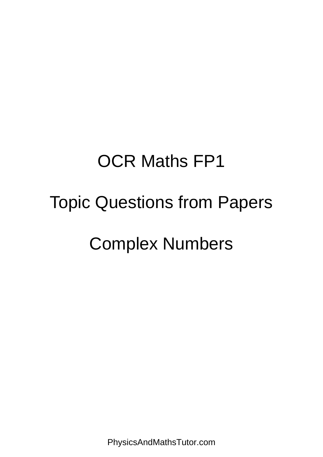## OCR Maths FP1

## Topic Questions from Papers

## Complex Numbers

PhysicsAndMathsTutor.com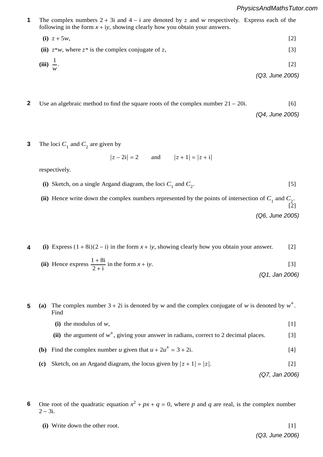**1** The complex numbers  $2 + 3i$  and  $4 - i$  are denoted by z and w respectively. Express each of the following in the form  $x + iy$ , showing clearly how you obtain your answers. **1**  $\text{ers } 2$ <br>n  $\text{r}$  +

(i) 
$$
z + 5w
$$
,  
\n(ii)  $z^*w$ , where  $z^*$  is the complex conjugate of z,  
\n(iii)  $\frac{1}{w}$ .  
\n(2)  
\n(3)  
\n(03, June 2005)

- **5** Use an algebraic method to find the square roots of the complex number 21 − 20i. [6] . In the case of the case of the case of the case of the case of the case of the case of the case of the case of the case of the case of the case of the case of the case of the case of the case of the case of the case of **2** *(Q4, June 2005)* . [1]
- 3 The loci  $C_1$  and  $C_2$  are given by **3**

$$
|z - 2i| = 2
$$
 and  $|z + 1| = |z + i|$ 

respectively.

- **(i)** SKEICH, OH a single Argand dia gram, the loci  $C_1$  and  $C_2$ . [5]<br>numbers represented by the points of intersection of  $C_1$  and  $C_2$ (i) Sketch, on a single Argand diagram, the loci  $C_1$  and  $C_2$ . [5] *n* ∑ *r*, *n r* and *n* and *n* and *n* and *n* and *n* and *n* and *n* and *n* and *n* and *n* and *n* and *n* and *n* and *n* and *n* and *n* and *n* and *n* and *n* and *n* and *n* and *n* and *n* and *n* and *n* and *n* and *n* an  $\mathbf{r}_1$  and  $\mathbf{c}_2$ .
	- (*r* + 1)(*r* + 2) (ii) Hence write down the complete (ii) Hence write down the complex numbers represented by the points of intersection of *C*<sub>1</sub> and *C*<sub>2</sub>.<br>[2]  $\overline{2}$ ] ارے <u>ہ</u><br>(Q6, June 2005)
- **4** (i) Express  $(1 + 8i)(2 i)$  in the form  $x + iy$ , showing clearly how you obtain your answer. [2] **4** *PMT*
	- $(1 \cdot 0)$ (ii) Hence express  $\frac{1+8i}{2+i}$  in the form  $x + iy$ . [3] [2] *(Q1, Jan 2006)*
	- 4725/S05 *r*=1 **5** (a) The complex number  $3 + 2i$  is denoted by *w* and the complex conjugate of *w* is denoted by  $w^*$ . Find **5**
	- **3** The modulus of *w*,  $[1]$  $\mathbf{A}$   $\mathbf{B}$   $\mathbf{A}$   $\mathbf{B}$  and  $\mathbf{B}$  is a constant whose value should be identity matrix  $\mathbf{B}$  is a constant whose value should be identity of  $\mathbf{B}$  is a constant whose value should be identity of  $\mathbf{B$ 
		- (1) the modulus of *w*,<br>
		(ii) the argument of *w*<sup>\*</sup>, giving your answer in radians, correct to 2 decimal places. [3]
	- (**b**) Find the complex number u given that  $u + 2u^* = 3 + 2i$ . [4]  $\sum_{n=1}^{\infty}$ 
		- (c) Sketch, on an Argand diagram, the locus given by  $|z + 1| = |z|$ . [2]

*(Q7, Jan 2006)*

 $\mathcal{L}$  and  $\mathcal{L}$  and  $\mathcal{L}$  and  $\mathcal{L}$  and  $\mathcal{L}$  and  $\mathcal{L}$  and  $\mathcal{L}$  and  $\mathcal{L}$ 

- 6 One root of the quadratic equation  $x^2 + px + q = 0$ , where *p* and *q* are real, is the complex number 2 − 3i. **6**
- $\bf{i}$  Write down the other root.  $\begin{bmatrix} 1 \end{bmatrix}$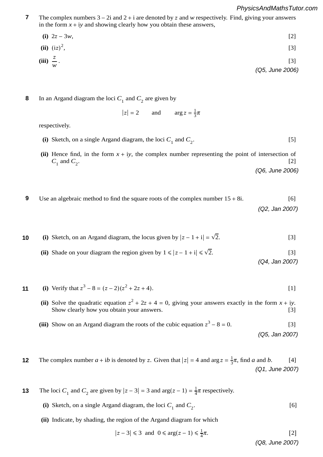## <sup>12</sup>*n*(*n* <sup>+</sup> 1)(*n* <sup>+</sup> 2)(3*n* <sup>+</sup> 1). [5] *PhysicsAndMathsTutor.com*

The complex numbers  $3 - 2i$  and  $2 + i$  are denoted by z and *w* respectively. Find, giving your answers in the form  $x + iy$  and showing clearly how you obtain these answers, **7**

**(i)**  $2z - 3w$ , [2] **(ii)**  $(iz)^2$ ,  $\hspace{0.5cm}$  ,  $\hspace{0.5cm}$  ,  $\hspace{0.5cm}$  ,  $\hspace{0.5cm}$  ,  $\hspace{0.5cm}$   $\hspace{0.5cm}$   $\hspace{0.5cm}$   $\hspace{0.5cm}$   $\hspace{0.5cm}$   $\hspace{0.5cm}$   $\hspace{0.5cm}$   $\hspace{0.5cm}$   $\hspace{0.5cm}$   $\hspace{0.5cm}$   $\hspace{0.5cm}$   $\hspace{0.5cm}$   $\hspace{0.5cm}$   $\hspace{0.$  $(iii)$   $\frac{z}{w}$ .  $\frac{2}{w}$ . [3] *(Q5, June 2006)*  $\frac{1}{2}$   $\frac{1}{2}$   $\frac{2}{3}$ *w*  $\frac{1}{2}$   $\frac{1}{2}$   $\frac{1}{2}$   $\frac{1}{2}$   $\frac{1}{2}$   $\frac{1}{2}$   $\frac{1}{2}$   $\frac{1}{2}$   $\frac{1}{2}$   $\frac{1}{2}$   $\frac{1}{2}$   $\frac{1}{2}$   $\frac{1}{2}$   $\frac{1}{2}$   $\frac{1}{2}$   $\frac{1}{2}$   $\frac{1}{2}$   $\frac{1}{2}$   $\frac{1}{2}$ in the *x*  $z = 3w$ , **(i)**  $(12)^{-}$ ,  $[3]$  $[3]$ **w** . [3]  $\frac{1}{2}$  . [3]  $\frac{1}{2}$  . [3]  $\frac{1}{2}$  . [3]  $\frac{1}{2}$  . [3]  $\frac{1}{2}$  . [3]  $\frac{1}{2}$  . [3]  $\frac{1}{2}$  . [3]  $\frac{1}{2}$  . [3]  $\frac{1}{2}$  . [3]  $\frac{1}{2}$  . [3]  $\frac{1}{2}$  . [3]  $\frac{1}{2}$  . [3]  $\frac{1}{2}$  . [3]  $\frac{$ *PMT PMT*

**8** In an Argand diagram the loci  $C_1$  and  $C_2$  are given by **8** *PMT* **1 1 B A** and **A** and **B** are  $C_1$  and  $C_2$  are given by

$$
|z| = 2
$$
 and  $\arg z = \frac{1}{3}\pi$ 

 $\frac{1}{2}$  Sepectively. respectively. **(i)** Given that 2**<sup>A</sup>** <sup>+</sup> **<sup>B</sup>** <sup>=</sup> ! 1 1

*PMT*

(i) Sketch, on a single Argand diagram, the loci  $C_1$  and  $C_2$ . [5] **(i)** Sketch, on a single Argand diagram, the loci  $C_1$  and  $C_2$ . [5]

*C*<sup>1</sup> and *C*2. [2] (ii) Hence find, in the form  $x + iy$ , the complex number representing the point of intersection of  $C$  and  $C$  $C_1$  and  $C_2$ . [2] *(Q6, June 2006)* **2** Use an algebra is the square roots of the square roots of the square roots of the complex number  $1/2$ .

 $\frac{9}{2}$  −7  $\frac{9}{2}$   $\frac{9}{2}$   $\frac{9}{2}$   $\frac{9}{2}$   $\frac{9}{2}$   $\frac{1}{2}$   $\frac{9}{2}$   $\frac{1}{2}$   $\frac{9}{2}$   $\frac{1}{2}$   $\frac{1}{2}$   $\frac{1}{2}$   $\frac{1}{2}$   $\frac{1}{2}$   $\frac{1}{2}$   $\frac{1}{2}$   $\frac{1}{2}$   $\frac{1}{2}$   $\frac{1}{2}$   $\frac{1}{2}$   $\frac{1}{2}$ 

3 2 ", write down the value of *<sup>a</sup>*. [1]

- **9** Use an algebraic method to find the square roots of the complex number  $15 + 8i$ . [6] *(Q2, Jan 2007)* **9**
- **a 4** (i) Sketch, on an Argand diagram, the locus given by  $|z 1 + i| = \sqrt{2}$ ∑ *r*=1 (ii) Shade on your diagram the region given by  $1 \le |z - 1 + i| \le \sqrt{2}$ . expression  $\left( \mathsf{Q4},\mathsf{Jan}\,2007\right)$  $[3]$  $[3]$ *(Q4, Jan 2007)* **10**  $2.3$ *PMT*

**11** (i) Verify that 
$$
z^3 - 8 = (z - 2)(z^2 + 2z + 4)
$$
.

**(ii)** Solve the quadratic equation  $z^2 + 2z + 4 = 0$ , giving your answers exactly in the form  $x + iy$ . Show clearly how you obtain your answers. [3] (ii) Solve the quadratic equation  $z^2 + 2z + 4 = 0$ , giving your answers exactly in the form  $x + iy$ .

(iii) Show on an Argand diagram the roots of the cubic equation 
$$
z^3 - 8 = 0
$$
. [3]  
(Q5, Jan 2007)

**2** The complex number  $a + ib$  is denoted by z. Given that  $|z| = 4$  and  $\arg z = \frac{1}{3}\pi$ , find a and b. [4] *(Q1, June 2007)* have any solutions. [3] **12**

 $\int_{1}^{1}$  and  $\int_{2}^{1}$  are given by  $|z - 3| = 3$  and  $\int_{\mathbb{R}} (z - 1) = \int_{4}^{1}$ . Expectively. *7* The quadratic equation **x**<sup>2</sup> + 10 m and *β*. **2 2 2 2** *nd C***, are given by**  $|z - \hat{i}|$ *r*=1 **3** The loci *C*<sub>1</sub> and *C*<sub>2</sub> are given by  $|z - 3| = 3$  and  $arg(z - 1) = \frac{1}{4}\pi$  respectively. **13**

- (i) Breten, on a single inguita englant, the foot  $c_1$  and  $c_2$ . **(iii)** Show that α2 + β2 = 5. [2]  $\frac{1}{2}$ (i) Sketch, on a single Argand diagram, the loci  $C_1$  and  $C_2$ . [6]
- (ii) showing, the region of the rights english for when **(ii)** Indicate, by shading, the region of the Argand diagram for which

$$
|z-3| \leq 3 \text{ and } 0 \leq \arg(z-1) \leq \frac{1}{4}\pi.
$$
 [2]

**(Co. June 2007**) . [4] . [6] *(Q8, June 2007)*

 $(3, 1)$  can  $200$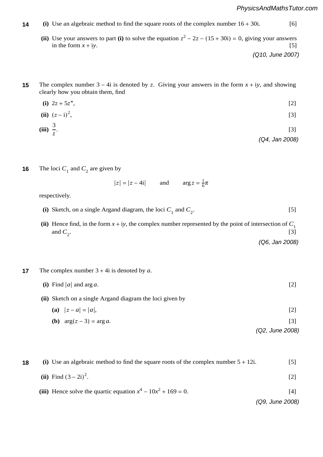- **1** (i) Use an algebraic method to find the square roots of the complex number  $16 + 30i$ . [6] **14**
	- (ii) Use your answers to part (i) to solve the equation  $z^2 2z (15 + 30i) = 0$ , giving your answers in the form  $x + iy$ . [5] **4** The complex number 3 − 4i is denoted by #. Giving your answers in the form *x* + i*y*, and showing (ii) Use your answers to part  $(i)$ **(0.10 lune 200)**<br>2007 Million 2001

*(Q10, June 2007)* . [2] The contract of the contract of the contract of the contract of the contract of the contract of the contract of the contract of the contract of the contract of the contract of the contract of the contract of the cont

- **5** The complex number  $3 4i$  is denoted by z. Giving your answers in the form  $x + iy$ , and showing clearly how you obtain them, find **15**
	- **(i)**  $2z + 5z^*$ , [2] **5** The matrices **A**

**(ii)** 
$$
(z - i)^2
$$
, [3]

(iii) 
$$
\frac{3}{z}
$$
. [3]

*(Q4, Jan 2008)*

The loci  $C_1$  and  $C_2$  are given by **16**

respectively.

 $|z| = |z - 4i|$  and  $\arg z = \frac{1}{6}\pi$  $\sim$   $\frac{1}{0}$ 

*PMT*

*PMT*

(i) Sketch, on a single Argand diagram, the loci  $C_1$  and  $C_2$ . [5]

 $\mathcal{L}(\mathcal{L})$ 

(ii) Hence find, in the form  $x + iy$ , the complex number represented by the point of intersection of  $C_1$ and  $C_2$ . [3] *(Q6, Jan 2008)*  $\frac{2}{\sqrt{10}}$  **(06** Jan 2009 and  $\mathcal{C}_2$ .

**2** The complex number  $3 + 4i$  is denoted by *a*. **17** The complex number  $3 + 4i$  is denoted by a.

| (i) Find  a  and $\arg a$ .                              |  |
|----------------------------------------------------------|--|
| (ii) Sketch on a single Argand diagram the loci given by |  |
| (a) $ z-a = a $ ,                                        |  |

**(b)**  $\arg(z-3) = \arg a$ . [3] **8** The *8008 Kx* + 2*k*  $\frac{1}{2}$  + 2*k*  $\frac{1}{2}$  = 0, where *k* is a non-zero constant,  $\frac{1}{2}$  = 0, where 2008

*(Q2, June 2008)*

**8** (i) Use an algebraic method to find the square roots of the complex number 5 + 12i. [5]  $[2]$ **(ii)** Find  $(3 – 2i)^2$ . The contract of the contract of the contract of the contract of  $[2]$ (iii) Hence solve the quartic equation  $x^4 - 10x^2 + 169 = 0$ . [4] *(Q9, June 2008)* **18**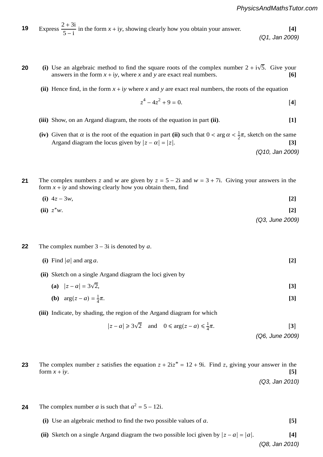19 Express 
$$
\frac{2+3i}{5-i}
$$
 in the form  $x + iy$ , showing clearly how you obtain your answer. (Q1, Jan 2009)

(i) Use an algebraic method to find the square roots of the complex number  $2 + i\sqrt{5}$ . Give your answers in the form  $x + iv$ , where x and y are exact real numbers answers in the form  $x + iy$ , where x and y are exact real numbers. [6]<br>(ii) Hence find in the form  $x + iy$  where x and y are exact real numbers. [6] **20**

(ii) Hence find, in the form  $x + iy$  where x and y are exact real numbers, the roots of the equation

$$
z^4 - 4z^2 + 9 = 0.
$$
 [4]

. **[2]**

**3** Gii) Sh  $rac{1}{2}$ (iii) Show, on an Argand diagram, the roots of the equation in part (ii). **(iii)** Show, on an Argand diagram, the roots of the equation in part (ii). [1]

Argand diagram the locus given by  $|z - \alpha| = |z|$ . [3]<br>(Q10, Jan 2009) (Q10) **A**  $\alpha$  is  $\alpha$ ,  $\alpha$  is  $\alpha$  is  $\alpha$ .  $\alpha$ (iv) Given that  $\alpha$  is the root of the equation in part (ii) such that  $0 < \arg \alpha < \frac{1}{2}\pi$ , sketch on the same *(Q10, Jan 2009)* **1** The complex number  $\alpha$  + iii,  $\alpha$  + iii,  $\alpha$  +  $\alpha$ ,  $\beta$  + iii,  $\alpha$  + iii,  $\beta$  + iii,  $\beta$  + iii,  $\beta$  + iii,  $\beta$  + iii,  $\beta$  + iii,  $\beta$  + iii,  $\beta$  + iii,  $\beta$  + iii,  $\beta$  + iii,  $\beta$  + iii,  $\beta$  + iii,  $\beta$  +

The complex numbers z and w are given by  $z = 5 - 2i$  and  $w = 3 + 7i$ . Giving your answers in the form  $x + iy$  and showing clearly how you obtain them, find **21** *n*

(i) 
$$
4z - 3w
$$
, [2]  
(ii)  $z^*w$ . [2] (Q3, June 2009)

*PMT*

- **6 The complex number 3** 3i is denoted by *a*. **22**  $\int$  The complex number  $3 - 3i$  is denoted by a transformation S. Given a geometrical description of  $\alpha$ . **Example 1** and **find the matrix of**  $\alpha$ 
	- $\overline{\phantom{a}}$ (i) Find |a| and  $\arg a$ . [2]
	- (ii) Sketch on a single Argand diagram the loci given by  $\overline{\mathbf{u}}$ 
		- $-1$  0  $-1$  0  $-1$  0  $-1$  0  $-1$  0  $-1$  0  $-1$  $|z - a| = 3\sqrt{2}$ , [3]  $[3]$  $\overline{2}$ , [3]  $\begin{bmatrix} 1 & 2 & 3 \end{bmatrix}$ **(i)** Find the real root of the cubic equation. **[3]**
		- (**b**)  $\arg(z u) 4u$ . **(b)**  $arg(z - a) = \frac{1}{4}$  $\pi$ . [3] **(b)**  $\cos(\pi a) = \frac{1}{\pi}$  [3] **(ii)** Find the values of *p* and *q*. **[4]**
	- (iii) Indicate, by shading, the region of the Argand diagram for which

$$
|z - a| \ge 3\sqrt{2}
$$
 and  $0 \le \arg(z - a) \le \frac{1}{4}\pi$ . [3]  
(Q6, June 2009)

*(Q6, June 2009)*

For the complex number 2 satisfies the equation  $2 + 212 = 12 + 91$ . Find 2, giving your answer in the orm  $x + iy$ . complex number z satisfies the equation  $z + 2iz^* = 12 + 9i$ . Find z, giving your answer in the form  $\lambda + iy$ , The complex number  $z$  satisfies the equation  $z + 2iz^* = 12 + 9i$ . Find  $z$ , giving your answer in the form  $x + iy$ . [5] form  $x + iy$ . [5] **23**  $2i^* = 12 \cdot 0$ <sup>2</sup> . Find  $\tau$  giving your encusy in the form  $x + iy$ . ∑*r*=2

**(ii)** Prove by induction that *un* is a multiple of 7. **[4]** *(Q3, Jan 2010)* (Q3, Jan 2010

- I he complex number **4** The complex number *a* is such that  $a^2 = 5 - 12i$ . **24**
	- $t<sub>1</sub>$  $\bf{r}$  **(i)** Use an algebraic method to find the two possible values of *a*. **[5]**
	- (ii) Sketch on a single Argand diagram the two po *r*=1  $\frac{1}{2}$  agram the two possible loci given by  $|z - a| = |a|$ . [4] (ii) Sketch on a single Argand diagram the two possible loci given by  $|z - a| = |a|$ . [4] *(Q8, Jan 2010)*

*PMT*

*PMT PMT*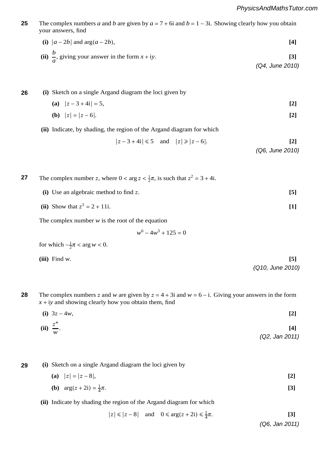**4** The complex numbers *a* and *b* are given by  $a = 7 + 6i$  and  $b = 1 - 3i$ . Showing clearly how you obtain **b** Describe function represents function represents function represents a series:  $\mathbf{f}$  following matrices:  $\mathbf{f}$  and  $\mathbf{f}$  and  $\mathbf{f}$  and  $\mathbf{f}$  and  $\mathbf{f}$  and  $\mathbf{f}$  and  $\mathbf{f}$  and  $\mathbf{f}$  and  $\mathbf{f$ **25 5 (a)** Write down the matrix that represents a reflection in the line *y* = *x*. **[2] 9** The complex numbers  $a$  and  $b$  a solution by **A** is given by **A** is given by  $a$  and  $b$  and  $b$  and  $b$  and  $b$  and  $b$  and  $b$  and  $b$  and  $b$  and  $b$  and  $b$  and  $b$  and  $b$  and  $b$  and  $b$  and  $b$  and  $b$  and  $b$ **a** αiven by  $\mathbf{e}$  given by  $\mathbf{a}$ 

(i) 
$$
|a - 2b|
$$
 and  $\arg(a - 2b)$ ,

\n(ii)  $\frac{b}{a}$ , giving your answer in the form  $x + iy$ .

\n[3]

\n(Q4, June 2010)

**6 (i)** Sketch on a single Argand diagram the loci given by **26**

√

(a) 
$$
|z - 3 + 4i| = 5
$$
, [2]  
(b)  $|z| = |z - 6|$ 

**(b)**  $|z| = |z - 6|$ . **[2]** 

$$
{\sf PMT}
$$

*PMT*

**28**

Indicate, by shadir (ii) Indicate, by shading, the region of the Argand diagram for which

$$
|z-3+4i| \le 5
$$
 and  $|z| \ge |z-6|$ . [2]

*(Q6, June 2010)* <sup>2</sup>". Find

The complex number z, where  $0 < \arg z < \frac{1}{2}\pi$ , is such that  $z^2 = 3 + 4i$ . **27**

 $(i)$  Use an algebraic method to find  $z$ .  $[5]$ 

(ii) Show that 
$$
z^3 = 2 + 11i
$$
. [1]

The complex number  $w$  is the root of the equation

$$
w^6 - 4w^3 + 125 = 0
$$

for which 
$$
-\frac{1}{2}\pi < \arg w < 0
$$
.

**(iii)** Find *w*. **[5] (iii**) Find w.

**2** The complex numbers z and *w* are given by  $z = 4 + 3i$  and  $w = 6 - i$ . Giving your answers in the form

**<sup>3</sup>** The sequence *u*1, *u*2, *u*3, . . . is defined by *u*<sup>1</sup> <sup>=</sup> 2, and *un*+<sup>1</sup> <sup>=</sup> <sup>2</sup>*un* <sup>−</sup> 1 for *n* <sup>≥</sup> 1. Prove by induction

 $\mathbf{S}(\mathbf{S}|\mathbf{S})$  (iii)  $\mathbf{S}(\mathbf{S}|\mathbf{S})$  (iii)  $\mathbf{S}(\mathbf{S}|\mathbf{S})$  (iii)  $\mathbf{S}(\mathbf{S}|\mathbf{S})$  (iii)  $\mathbf{S}(\mathbf{S}|\mathbf{S})$ 

- $\mathcal{L}$  or  $\mathcal{L}$   $\mathcal{L}$   $\mathcal{L}$   $\mathcal{L}$   $\mathcal{L}$   $\mathcal{L}$   $\mathcal{L}$   $\mathcal{L}$   $\mathcal{L}$   $\mathcal{L}$   $\mathcal{L}$   $\mathcal{L}$   $\mathcal{L}$   $\mathcal{L}$   $\mathcal{L}$   $\mathcal{L}$   $\mathcal{L}$   $\mathcal{L}$   $\mathcal{L}$   $\mathcal{L}$   $\mathcal{L}$   $\mathcal{L}$   $\mathcal{L}$   $\$  $x + iy$  and showing clearly how you obtain them, find
- $\mathcal{Q}_2$ **(i)**  $3z - 4w$ , **[2]** (i)  $3z-4w$ ,

(ii) 
$$
\frac{z^*}{w}
$$
.<sup>[4]</sup>

*(Q2, Jan 2011)* . **[3]**

*(Q10, June 2010)*

**(i)** Sketch on a single Argand diagram the loci given by **(i)** Sketch on a single Argand diagram the loci given by **29**

- $|z| = |z 8|,$  [2]
- $\overline{f}$  Given the that the set of the set of the set of the set of the set of the set of the set of the set of the set of the set of the set of the set of the set of the set of the set of the set of the set of the set of **(b)**  $arg(z + 2i) = \frac{1}{4}$  $(z + 2i) = \frac{1}{2}\pi$ . [3]  $\frac{1}{4}\pi$ . [3]

**(ii)** Indicate by shading the region of the Argand diagram for which

**5** Given that **A** and **B** are non-singular square matrices, simplify  $|z| \le |z - 8|$  and  $0 \le \arg(z + 2i) \le \frac{1}{4}$  $\frac{1}{4}\pi$ . [3]

. **[3]** *(Q6, Jan 2011)*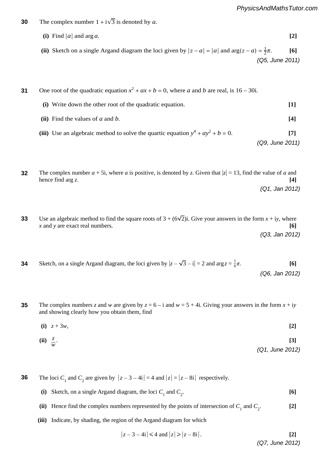- **5** The complex number  $1 + i\sqrt{3}$  is denoted by *a*. **30**
- **(i)** Find  $|a|$  and arg *a*. **[2]** (ii) Sketch on a single Argand diagram the loci given by  $|z - a| = |a|$  and  $\arg(z - a) = \frac{1}{2}\pi$ . [6] 0ne root of the quadratic equation  $x^2 + ax + b = 0$ , where *a* and *b* are real, is 16 − 30i. **(i)** Write down the other root of the quadratic equation. **[1]** *r*  $\begin{bmatrix} \n\mathbf{i} \n\end{bmatrix}$  Find the values of *a* and *b*.  $\begin{bmatrix} 4 \end{bmatrix}$ transformation B. Give geometrical descriptions of  $($ Q5, June 2011) s she transformation represented by  $\frac{1}{2}$  is  $\frac{1}{2}$  is  $\frac{1}{2}$  is  $\frac{1}{2}$  is  $\frac{1}{2}$  is  $\frac{1}{2}$  is  $\frac{1}{2}$  is  $\frac{1}{2}$  is  $\frac{1}{2}$  is  $\frac{1}{2}$  is  $\frac{1}{2}$  is  $\frac{1}{2}$  is  $\frac{1}{2}$  is  $\frac{1}{2}$  is  $\frac{$ . **[3] 31** *PMT PMT*  $[1]$  $\frac{d\mathbf{p}}{d\mathbf{p}} = \frac{1}{2} \mathbf{p} + \frac{1}{2} \mathbf{p} + \frac{1}{2} \mathbf{p} + \frac{1}{2} \mathbf{p} + \frac{1}{2} \mathbf{p} + \frac{1}{2} \mathbf{p} + \frac{1}{2} \mathbf{p} + \frac{1}{2} \mathbf{p} + \frac{1}{2} \mathbf{p} + \frac{1}{2} \mathbf{p} + \frac{1}{2} \mathbf{p} + \frac{1}{2} \mathbf{p} + \frac{1}{2} \mathbf{p} + \frac{1}{2} \mathbf{p} + \frac{1}{$ *PMT*
- **iii**) Use an algebraic method to solve the quartic equation (iii) Use an algebraic method to solve the quartic equation  $y^4 + ay^2 + b = 0$ . [7] *(Q9, June 2011) x* and *y* are exact real numbers. **[6]** *PMT*
	- ∑*r*=1000 The complex number  $a + 5i$ , where a is positive, is denoted by z. Given that  $|z| = 13$ , find the value of a and hance find and *(5, 2, 3, 3, 3, 4, 3)*  $\frac{1}{2}$ **24]**<br> **2012** *And arg z.***<br>
	<b>2012** *And 2012* **(4)**<br>
	3−5 (Q1, Jan 2012)<br>
	3−5 (Q1, Jan 2012) **32 5 (a)** Find the matrix that represents a reflection in the line *y* = −*x*. **[2]**
	- Use an algebraic method to find the square roots of  $3 + (6\sqrt{2})$ i. Give your answers in the form  $x + iy$ , where **3** Use an algebraic method to find the square roots of 3 + (6 2)i. Give your answers in the form *x* + i*y*, where *(Q3, Jan 2012)* . **[3]** *x* and *y* are exact real numbers. **[6] 33**

**3** One root of the quadratic equation *x* + *ax* + *b* = 0, where *a* and *b* are real, is the complex number 4 – 3i.

- **4** Sketc *n*, on a single Argand diagram, the loci given by  $|z - \sqrt{3} - i| = 2$  and  $\arg z = \frac{1}{6}\pi$ . [6] **5 (a)**  $\frac{1}{2}$  (a)  $\frac{1}{2}$  (a)  $\frac{1}{2}$  (a)  $\frac{1}{2}$   $\frac{1}{2}$  (a)  $\frac{1}{2}$  (a)  $\frac{1}{2}$  (a)  $\frac{1}{2}$  (a)  $\frac{1}{2}$ (Q3, Jan 2012)<br>
Sketch, on a single Argand diagram, the loci given by  $|z - \sqrt{3} - i| = 2$  and  $\arg z = \frac{1}{6}\pi$ . [6] Sketch, on a single Argand diagram, the loci given by  $|z - \sqrt{3} - i| = 2$  and arg  $z = \frac{1}{6}\pi$ . (Q6, Jan 2012)<br>(Q6, Jan 2012) *(Q6, Jan 2012)* **34** *PMT* Sketch, on a single Argand diagram, the loci given by  $|z - \sqrt{3} - i| = 2$  and  $\arg z = \frac{1}{6}\pi$ . [6]
	- The complex numbers z and w are given by  $z = 6 i$  and  $w = 5 + 4i$ . Giving your answers in the form  $x + iy$  and showing clearly how you obtain them, find and showing clearly how you obtain them, find **35** give<br>in th  $\tan by z = 6 - i$  and  $w = 5 + 4i$ . Giving your answers in the form  $x + iy$ 
		- $w$ ,  $[2]$  **(iii)** Use induction to prove that your answer to part **(ii)** is correct. **[4] (i)**  $z + 3w$ , [2]
		- transformation represented by **C**. **[2] 6** Sketch, on a single Argand diagram, the loci given by !*z* − 3 − i! = 2 and arg *z* = <sup>1</sup> <sup>6</sup>*π*. **[6]** *(Q1, June 2012)* **(ii)**  $\frac{z}{z}$ **(ii)**  $\frac{z}{w}$ . (ii)  $\frac{z}{w}$ . [3]<br>(Q1, June 201.  $(01 + 1)$   $(01 + 1)$   $(01 + 2)$

**7** The loci  $C_1$  and  $C_2$  are given by  $|z-3-$ **<sup>7</sup>**The matrix **M** is given by **M** = " 2 1#.  $\frac{1}{2}$  into  $C_2$  and given by  $|x - 3 - \pi| = \frac{1}{2}$  and  $|z| = |\xi|$ **6** The loci  $C_1$  and  $C_2$  are given by  $|z - 3 - 4i| = 4$  and  $|z| = |z - 8i|$  respectively. **36**

- (i) Sketch, on a single Argand diagram, the loci  $C_1$  and  $C_2$ . [6] *<sup>n</sup>*(*n* + 1) . **[4]** (i) Sketch, on a single Argand diagram, the loci  $C_1$  and  $C_2$ . [6]<br>
(ii) Hence find the complex numbers represented by the points of intersection of  $C_1$  and  $C_2$ . [2] . **[6]**
- (ii) Hence find the complex numbers represented by the points of intersection of  $C_1$  and  $C_2$ . [2]<br>
(iii) Indicate, by shading, the region of the Argand diagram for which . **[2]**
- (iii) Indicate, by shading, the region of the Argand diagram for which , where *n* is a positive integer. **[2]**

(iii) Indicate, by shading, the region of the Argand diagram for which  

$$
|z-3-4i| \le 4 \text{ and } |z| \ge |z-8i|.
$$
 [2] (Q7, June 2012)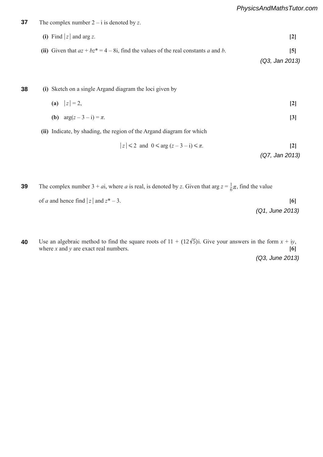The diagram shows the unit square *OABC*, and its image *OAB′C*′ after a transformation. The points have the *PhysicsAndMathsTutor.com*

The complex number  $2 - i$  is denoted by  $z$ . **37**

*<sup>n</sup>* 3 2

**(i)** Find  $|z|$  and arg *z*. **[2]** (ii) Given that  $az + bz^* = 4 - 8i$ , find the values of the real constants a and b. [5] *(Q3, Jan 2013)*  $\text{Uiv}$  and  $\alpha_2 + \alpha_2 - 4 = \text{oi}$ , this are values of the real constants a and  $\theta$ .

| 38 | (i) Sketch on a single Argand diagram the loci given by |  |   |
|----|---------------------------------------------------------|--|---|
|    | (a) $ z =2$ ,                                           |  | 2 |
|    | ( <b>b</b> ) $arg(z-3-i) = \pi$ .                       |  |   |

**(ii)** Indicate, by shading, the region of the Argand diagram for which

$$
|z| \leq 2 \text{ and } 0 \leq \arg(z - 3 - i) \leq \pi.
$$
 [2]

$$
(Q7, Jan 2013)
$$

$$
1 \quad z \quad 3 \qquad 2 \qquad 2-r
$$

The complex number  $3+ai$ , where a is real, is denoted by z. Given that  $\arg z = \frac{1}{6}\pi$ , find the value of *a* and hence find  $|z|$  and  $z^*$  – 3. [6]  $\sum$ / . **[2]** *(Q1, June 2013)* 3  $\frac{3}{2}$ **39** 2 **111**<br> **A** – 421 – 421 – 421 – 421 – 421 – 421 – 421 – 421 – 421 – 421 – 421 – 421 – 421 – 421 – 421 – 421 – 421 – 421 – 421 – 421 – 421 – 421 – 421 – 421 – 421 – 421 – 421 – 421 – 421 – 421 – 421 – 421 – 421 – 421 – 421 – **example when**  $\overline{S}$  is singular or non-singular or non-singular, giving a reason for  $\overline{S}$ 

Use an algebraic method to find the square roots of  $11 + (12\sqrt{5})$ i. Give your answers in the form  $x + iy$ , where *x* and *y* are exact real numbers. **[6] 40**

*(Q3, June 2013)*

|                  | $2\overline{2}$<br>0 <sub>1</sub> | $(12 \t5)$ |  |
|------------------|-----------------------------------|------------|--|
| $\boldsymbol{n}$ | $2\overline{2}$<br>0 <sub>1</sub> |            |  |



*r*=1

*PMT*

*PMT*